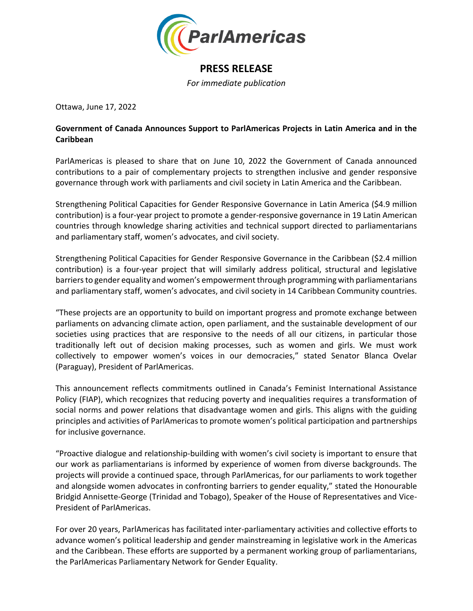

## **PRESS RELEASE**

*For immediate publication*

Ottawa, June 17, 2022

## **Government of Canada Announces Support to ParlAmericas Projects in Latin America and in the Caribbean**

ParlAmericas is pleased to share that on June 10, 2022 the Government of Canada announced contributions to a pair of complementary projects to strengthen inclusive and gender responsive governance through work with parliaments and civil society in Latin America and the Caribbean.

Strengthening Political Capacities for Gender Responsive Governance in Latin America (\$4.9 million contribution) is a four-year project to promote a gender-responsive governance in 19 Latin American countries through knowledge sharing activities and technical support directed to parliamentarians and parliamentary staff, women's advocates, and civil society.

Strengthening Political Capacities for Gender Responsive Governance in the Caribbean (\$2.4 million contribution) is a four-year project that will similarly address political, structural and legislative barriers to gender equality and women's empowerment through programming with parliamentarians and parliamentary staff, women's advocates, and civil society in 14 Caribbean Community countries.

"These projects are an opportunity to build on important progress and promote exchange between parliaments on advancing climate action, open parliament, and the sustainable development of our societies using practices that are responsive to the needs of all our citizens, in particular those traditionally left out of decision making processes, such as women and girls. We must work collectively to empower women's voices in our democracies," stated Senator Blanca Ovelar (Paraguay), President of ParlAmericas.

This announcement reflects commitments outlined in Canada's Feminist International Assistance Policy (FIAP), which recognizes that reducing poverty and inequalities requires a transformation of social norms and power relations that disadvantage women and girls. This aligns with the guiding principles and activities of ParlAmericas to promote women's political participation and partnerships for inclusive governance.

"Proactive dialogue and relationship-building with women's civil society is important to ensure that our work as parliamentarians is informed by experience of women from diverse backgrounds. The projects will provide a continued space, through ParlAmericas, for our parliaments to work together and alongside women advocates in confronting barriers to gender equality," stated the Honourable Bridgid Annisette-George (Trinidad and Tobago), Speaker of the House of Representatives and Vice-President of ParlAmericas.

For over 20 years, ParlAmericas has facilitated inter-parliamentary activities and collective efforts to advance women's political leadership and gender mainstreaming in legislative work in the Americas and the Caribbean. These efforts are supported by a permanent working group of parliamentarians, the ParlAmericas Parliamentary Network for Gender Equality.